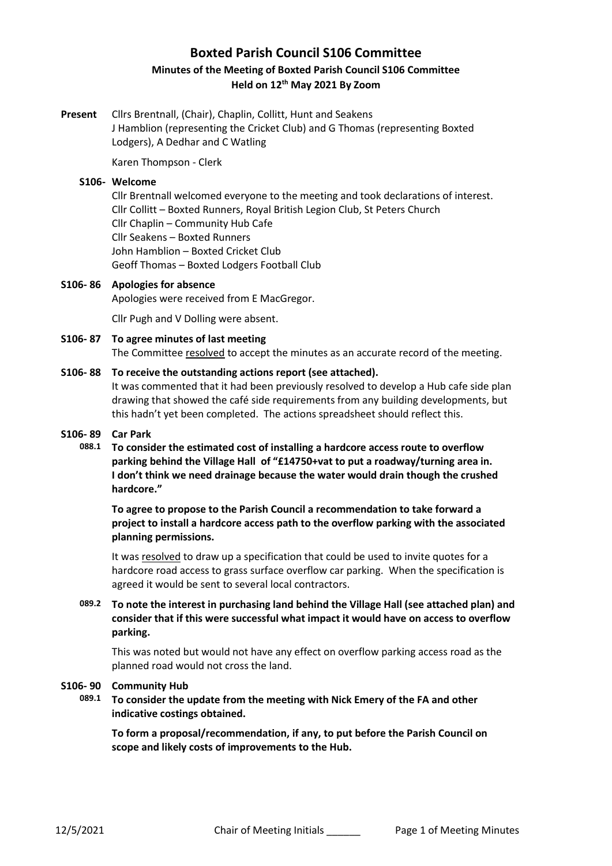# **Boxted Parish Council S106 Committee Minutes of the Meeting of Boxted Parish Council S106 Committee Held on 12th May 2021 By Zoom**

**Present** Cllrs Brentnall, (Chair), Chaplin, Collitt, Hunt and Seakens J Hamblion (representing the Cricket Club) and G Thomas (representing Boxted Lodgers), A Dedhar and C Watling

Karen Thompson - Clerk

### S<sub>106</sub>- Welcome

Cllr Brentnall welcomed everyone to the meeting and took declarations of interest. Cllr Collitt – Boxted Runners, Royal British Legion Club, St Peters Church Cllr Chaplin – Community Hub Cafe Cllr Seakens – Boxted Runners John Hamblion – Boxted Cricket Club Geoff Thomas – Boxted Lodgers Football Club

### **S106- 86 Apologies for absence**

Apologies were received from E MacGregor.

Cllr Pugh and V Dolling were absent.

#### **S106- 87 To agree minutes of last meeting** The Committee resolved to accept the minutes as an accurate record of the meeting.

# **S106- 88 To receive the outstanding actions report (see attached).**

It was commented that it had been previously resolved to develop a Hub cafe side plan drawing that showed the café side requirements from any building developments, but this hadn't yet been completed. The actions spreadsheet should reflect this.

### **S106- 89 Car Park**

**088.1 To consider the estimated cost of installing a hardcore access route to overflow parking behind the Village Hall of "£14750+vat to put a roadway/turning area in. I don't think we need drainage because the water would drain though the crushed hardcore."**

> **To agree to propose to the Parish Council a recommendation to take forward a project to install a hardcore access path to the overflow parking with the associated planning permissions.**

> It was resolved to draw up a specification that could be used to invite quotes for a hardcore road access to grass surface overflow car parking. When the specification is agreed it would be sent to several local contractors.

# **089.2 To note the interest in purchasing land behind the Village Hall (see attached plan) and consider that if this were successful what impact it would have on access to overflow parking.**

This was noted but would not have any effect on overflow parking access road as the planned road would not cross the land.

### **S106- 90 Community Hub**

**089.1 To consider the update from the meeting with Nick Emery of the FA and other indicative costings obtained.**

**To form a proposal/recommendation, if any, to put before the Parish Council on scope and likely costs of improvements to the Hub.**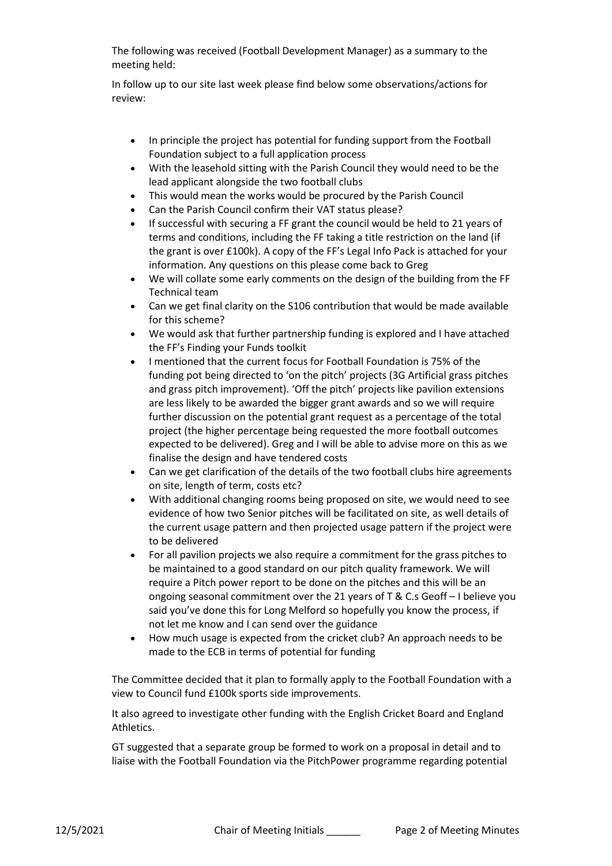The following was received (Football Development Manager) as a summary to the meeting held:

In follow up to our site last week please find below some observations/actions for review:

- In principle the project has potential for funding support from the Football Foundation subject to a full application process
- With the leasehold sitting with the Parish Council they would need to be the lead applicant alongside the two football clubs
- This would mean the works would be procured by the Parish Council
- Can the Parish Council confirm their VAT status please?
- If successful with securing a FF grant the council would be held to 21 years of terms and conditions, including the FF taking a title restriction on the land (if the grant is over £100k). A copy of the FF's Legal Info Pack is attached for your information. Any questions on this please come back to Greg
- We will collate some early comments on the design of the building from the FF Technical team
- Can we get final clarity on the S106 contribution that would be made available for this scheme?
- We would ask that further partnership funding is explored and I have attached the FF's Finding your Funds toolkit
- I mentioned that the current focus for Football Foundation is 75% of the funding pot being directed to 'on the pitch' projects (3G Artificial grass pitches and grass pitch improvement). 'Off the pitch' projects like pavilion extensions are less likely to be awarded the bigger grant awards and so we will require further discussion on the potential grant request as a percentage of the total project (the higher percentage being requested the more football outcomes expected to be delivered). Greg and I will be able to advise more on this as we finalise the design and have tendered costs
- Can we get clarification of the details of the two football clubs hire agreements on site, length of term, costs etc?
- With additional changing rooms being proposed on site, we would need to see evidence of how two Senior pitches will be facilitated on site, as well details of the current usage pattern and then projected usage pattern if the project were to be delivered
- For all pavilion projects we also require a commitment for the grass pitches to be maintained to a good standard on our pitch quality framework. We will require a Pitch power report to be done on the pitches and this will be an ongoing seasonal commitment over the 21 years of T & C.s Geoff – I believe you said you've done this for Long Melford so hopefully you know the process, if not let me know and I can send over the guidance
- How much usage is expected from the cricket club? An approach needs to be made to the ECB in terms of potential for funding

The Committee decided that it plan to formally apply to the Football Foundation with a view to Council fund £100k sports side improvements.

It also agreed to investigate other funding with the English Cricket Board and England Athletics.

GT suggested that a separate group be formed to work on a proposal in detail and to liaise with the Football Foundation via the PitchPower programme regarding potential